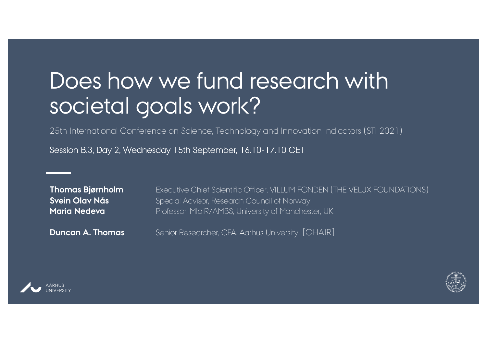## Does how we fund research with societal goals work?

25th International Conference on Science, Technology and Innovation Indicators (STI 2021)

Session B.3, Day 2, Wednesday 15th September, 16.10-17.10 CET

| <b>Thomas Bjørnholm</b> |
|-------------------------|
| Svein Olav Nås          |
| <b>Maria Nedeva</b>     |

Executive Chief Scientific Officer, VILLUM FONDEN (THE VELUX FOUNDATIONS) Special Advisor, Research Council of Norway **Maria Nedeva** Professor, MIoIR/AMBS, University of Manchester, UK

**Duncan A. Thomas** Senior Researcher, CFA, Aarhus University [CHAIR]





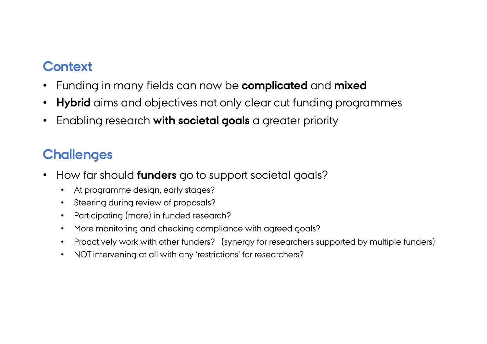## **Context**

- Funding in many fields can now be **complicated** and **mixed**
- **Hybrid** aims and objectives not only clear cut funding programmes
- Enabling research **with societal goals** a greater priority

## **Challenges**

- How far should **funders** go to support societal goals?
	- At programme design, early stages?
	- Steering during review of proposals?
	- Participating (more) in funded research?
	- More monitoring and checking compliance with agreed goals?
	- Proactively work with other funders? (synergy for researchers supported by multiple funders)
	- NOT intervening at all with any 'restrictions' for researchers?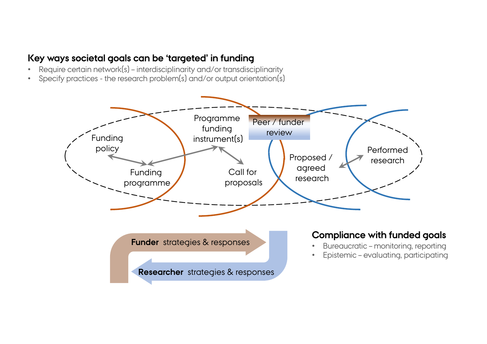## **Key ways societal goals can be 'targeted' in funding**

- Require certain network(s) interdisciplinarity and/or transdisciplinarity
- Specify practices the research problem(s) and/or output orientation(s)